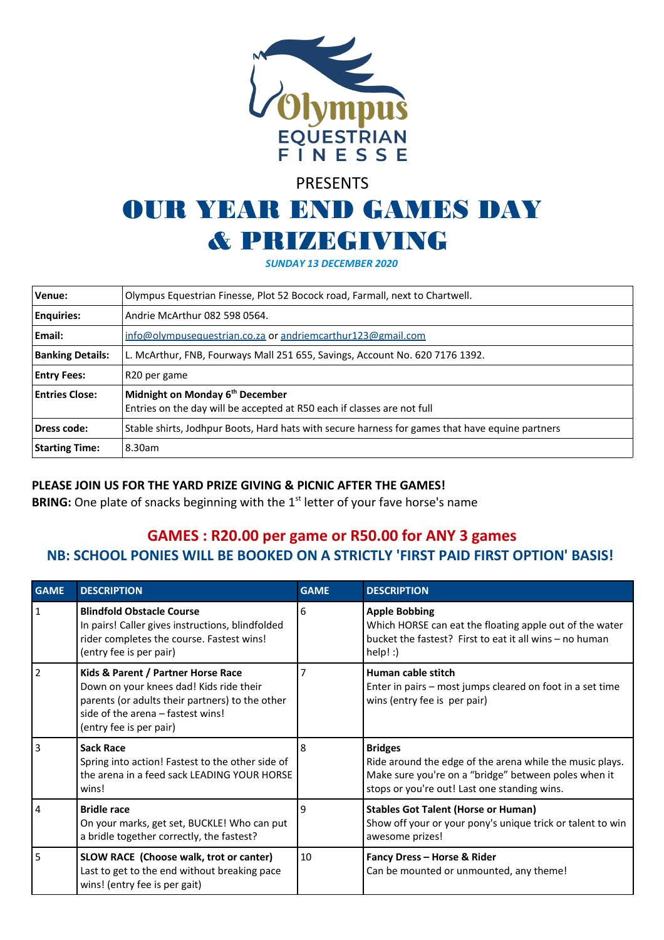

# PRESENTS

## OUR YEAR END GAMES DAY & PRIZEGIVING

*SUNDAY 13 DECEMBER 2020*

| Venue:                  | Olympus Equestrian Finesse, Plot 52 Bocock road, Farmall, next to Chartwell.                                           |  |  |  |  |
|-------------------------|------------------------------------------------------------------------------------------------------------------------|--|--|--|--|
| <b>Enquiries:</b>       | Andrie McArthur 082 598 0564.                                                                                          |  |  |  |  |
| Email:                  | info@olympusequestrian.co.za or andriemcarthur123@gmail.com                                                            |  |  |  |  |
| <b>Banking Details:</b> | L. McArthur, FNB, Fourways Mall 251 655, Savings, Account No. 620 7176 1392.                                           |  |  |  |  |
| <b>Entry Fees:</b>      | R <sub>20</sub> per game                                                                                               |  |  |  |  |
| <b>Entries Close:</b>   | Midnight on Monday 6 <sup>th</sup> December<br>Entries on the day will be accepted at R50 each if classes are not full |  |  |  |  |
| Dress code:             | Stable shirts, Jodhpur Boots, Hard hats with secure harness for games that have equine partners                        |  |  |  |  |
| <b>Starting Time:</b>   | 8.30am                                                                                                                 |  |  |  |  |

### **PLEASE JOIN US FOR THE YARD PRIZE GIVING & PICNIC AFTER THE GAMES!**

**BRING:** One plate of snacks beginning with the 1<sup>st</sup> letter of your fave horse's name

### **GAMES : R20.00 per game or R50.00 for ANY 3 games NB: SCHOOL PONIES WILL BE BOOKED ON A STRICTLY 'FIRST PAID FIRST OPTION' BASIS!**

| <b>GAME</b>    | <b>DESCRIPTION</b>                                                                                                                                                                               | <b>GAME</b>    | <b>DESCRIPTION</b>                                                                                                                                                                 |  |
|----------------|--------------------------------------------------------------------------------------------------------------------------------------------------------------------------------------------------|----------------|------------------------------------------------------------------------------------------------------------------------------------------------------------------------------------|--|
| $\mathbf{1}$   | <b>Blindfold Obstacle Course</b><br>In pairs! Caller gives instructions, blindfolded<br>rider completes the course. Fastest wins!<br>(entry fee is per pair)                                     | 6              | <b>Apple Bobbing</b><br>Which HORSE can eat the floating apple out of the water<br>bucket the fastest? First to eat it all wins - no human<br>$help!$ :                            |  |
| $\overline{2}$ | Kids & Parent / Partner Horse Race<br>Down on your knees dad! Kids ride their<br>parents (or adults their partners) to the other<br>side of the arena - fastest wins!<br>(entry fee is per pair) | $\overline{7}$ | Human cable stitch<br>Enter in pairs – most jumps cleared on foot in a set time<br>wins (entry fee is per pair)                                                                    |  |
| 3              | <b>Sack Race</b><br>Spring into action! Fastest to the other side of<br>the arena in a feed sack LEADING YOUR HORSE<br>wins!                                                                     | 8              | <b>Bridges</b><br>Ride around the edge of the arena while the music plays.<br>Make sure you're on a "bridge" between poles when it<br>stops or you're out! Last one standing wins. |  |
| 4              | <b>Bridle race</b><br>On your marks, get set, BUCKLE! Who can put<br>a bridle together correctly, the fastest?                                                                                   | 9              | <b>Stables Got Talent (Horse or Human)</b><br>Show off your or your pony's unique trick or talent to win<br>awesome prizes!                                                        |  |
| 5              | SLOW RACE (Choose walk, trot or canter)<br>Last to get to the end without breaking pace<br>wins! (entry fee is per gait)                                                                         | 10             | Fancy Dress - Horse & Rider<br>Can be mounted or unmounted, any theme!                                                                                                             |  |